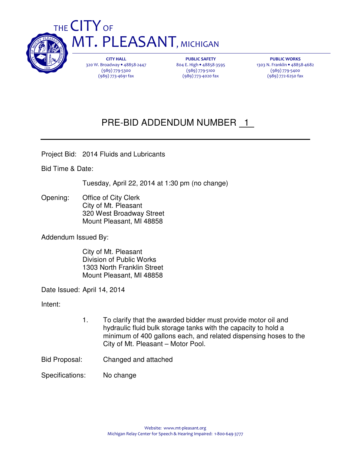

THE **CITY** OF **MT. PLEASANT, MICHIGAN** 

> CITY HALL 320 W. Broadway • 48858-2447 (989) 779-5300 (989) 773-4691 fax

PUBLIC SAFETY 804 E. High • 48858-3595 (989) 779-5100 (989) 773-4020 fax

PUBLIC WORKS 1303 N. Franklin • 48858-4682 (989) 779-5400 (989) 772-6250 fax

## PRE-BID ADDENDUM NUMBER 1

Project Bid: 2014 Fluids and Lubricants

Bid Time & Date:

Tuesday, April 22, 2014 at 1:30 pm (no change)

Opening: Office of City Clerk City of Mt. Pleasant 320 West Broadway Street Mount Pleasant, MI 48858

Addendum Issued By:

 City of Mt. Pleasant Division of Public Works 1303 North Franklin Street Mount Pleasant, MI 48858

Date Issued: April 14, 2014

Intent:

- 1. To clarify that the awarded bidder must provide motor oil and hydraulic fluid bulk storage tanks with the capacity to hold a minimum of 400 gallons each, and related dispensing hoses to the City of Mt. Pleasant – Motor Pool.
- Bid Proposal: Changed and attached

Specifications: No change